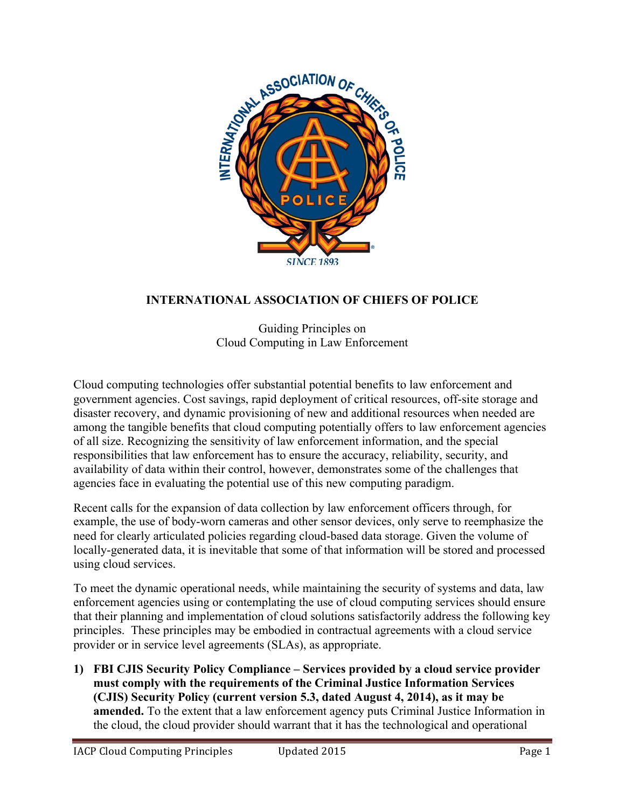

# **INTERNATIONAL ASSOCIATION OF CHIEFS OF POLICE**

Guiding Principles on Cloud Computing in Law Enforcement

Cloud computing technologies offer substantial potential benefits to law enforcement and government agencies. Cost savings, rapid deployment of critical resources, off-site storage and disaster recovery, and dynamic provisioning of new and additional resources when needed are among the tangible benefits that cloud computing potentially offers to law enforcement agencies of all size. Recognizing the sensitivity of law enforcement information, and the special responsibilities that law enforcement has to ensure the accuracy, reliability, security, and availability of data within their control, however, demonstrates some of the challenges that agencies face in evaluating the potential use of this new computing paradigm.

Recent calls for the expansion of data collection by law enforcement officers through, for example, the use of body-worn cameras and other sensor devices, only serve to reemphasize the need for clearly articulated policies regarding cloud-based data storage. Given the volume of locally-generated data, it is inevitable that some of that information will be stored and processed using cloud services.

To meet the dynamic operational needs, while maintaining the security of systems and data, law enforcement agencies using or contemplating the use of cloud computing services should ensure that their planning and implementation of cloud solutions satisfactorily address the following key principles. These principles may be embodied in contractual agreements with a cloud service provider or in service level agreements (SLAs), as appropriate.

**1) FBI CJIS Security Policy Compliance – Services provided by a cloud service provider must comply with the requirements of the Criminal Justice Information Services (CJIS) Security Policy (current version 5.3, dated August 4, 2014), as it may be amended.** To the extent that a law enforcement agency puts Criminal Justice Information in the cloud, the cloud provider should warrant that it has the technological and operational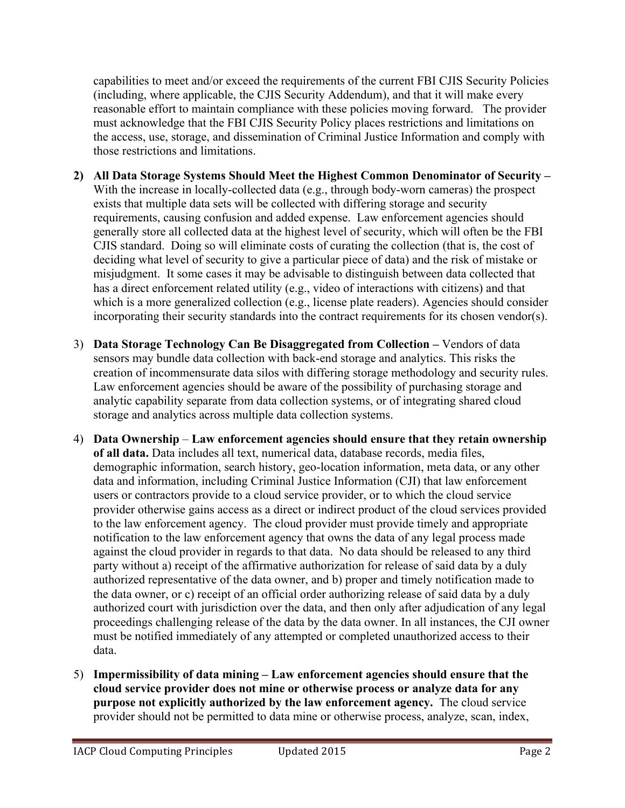capabilities to meet and/or exceed the requirements of the current FBI CJIS Security Policies (including, where applicable, the CJIS Security Addendum), and that it will make every reasonable effort to maintain compliance with these policies moving forward. The provider must acknowledge that the FBI CJIS Security Policy places restrictions and limitations on the access, use, storage, and dissemination of Criminal Justice Information and comply with those restrictions and limitations.

- **2) All Data Storage Systems Should Meet the Highest Common Denominator of Security –** With the increase in locally-collected data (e.g., through body-worn cameras) the prospect exists that multiple data sets will be collected with differing storage and security requirements, causing confusion and added expense. Law enforcement agencies should generally store all collected data at the highest level of security, which will often be the FBI CJIS standard. Doing so will eliminate costs of curating the collection (that is, the cost of deciding what level of security to give a particular piece of data) and the risk of mistake or misjudgment. It some cases it may be advisable to distinguish between data collected that has a direct enforcement related utility (e.g., video of interactions with citizens) and that which is a more generalized collection (e.g., license plate readers). Agencies should consider incorporating their security standards into the contract requirements for its chosen vendor(s).
- 3) **Data Storage Technology Can Be Disaggregated from Collection –** Vendors of data sensors may bundle data collection with back-end storage and analytics. This risks the creation of incommensurate data silos with differing storage methodology and security rules. Law enforcement agencies should be aware of the possibility of purchasing storage and analytic capability separate from data collection systems, or of integrating shared cloud storage and analytics across multiple data collection systems.
- 4) **Data Ownership Law enforcement agencies should ensure that they retain ownership of all data.** Data includes all text, numerical data, database records, media files, demographic information, search history, geo-location information, meta data, or any other data and information, including Criminal Justice Information (CJI) that law enforcement users or contractors provide to a cloud service provider, or to which the cloud service provider otherwise gains access as a direct or indirect product of the cloud services provided to the law enforcement agency. The cloud provider must provide timely and appropriate notification to the law enforcement agency that owns the data of any legal process made against the cloud provider in regards to that data. No data should be released to any third party without a) receipt of the affirmative authorization for release of said data by a duly authorized representative of the data owner, and b) proper and timely notification made to the data owner, or c) receipt of an official order authorizing release of said data by a duly authorized court with jurisdiction over the data, and then only after adjudication of any legal proceedings challenging release of the data by the data owner. In all instances, the CJI owner must be notified immediately of any attempted or completed unauthorized access to their data.
- 5) **Impermissibility of data mining – Law enforcement agencies should ensure that the cloud service provider does not mine or otherwise process or analyze data for any purpose not explicitly authorized by the law enforcement agency.** The cloud service provider should not be permitted to data mine or otherwise process, analyze, scan, index,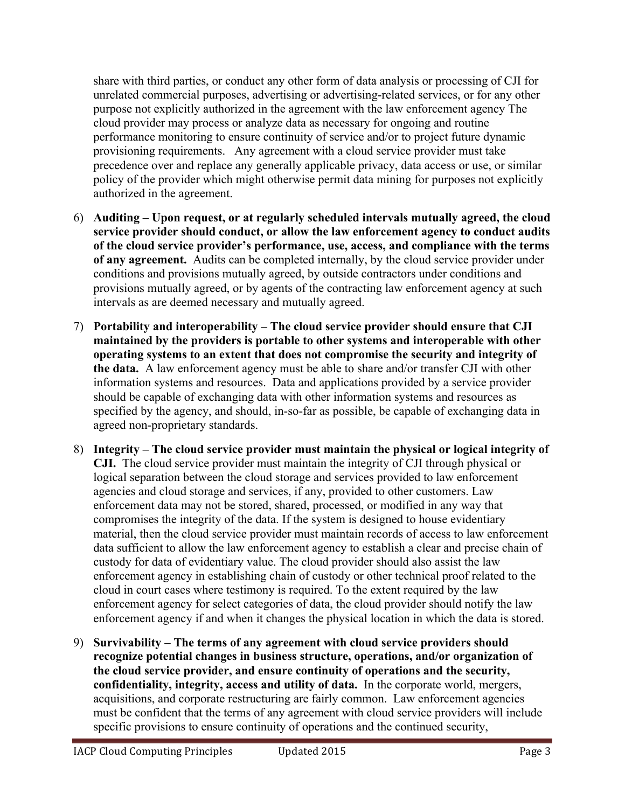share with third parties, or conduct any other form of data analysis or processing of CJI for unrelated commercial purposes, advertising or advertising-related services, or for any other purpose not explicitly authorized in the agreement with the law enforcement agency The cloud provider may process or analyze data as necessary for ongoing and routine performance monitoring to ensure continuity of service and/or to project future dynamic provisioning requirements. Any agreement with a cloud service provider must take precedence over and replace any generally applicable privacy, data access or use, or similar policy of the provider which might otherwise permit data mining for purposes not explicitly authorized in the agreement.

- 6) **Auditing – Upon request, or at regularly scheduled intervals mutually agreed, the cloud service provider should conduct, or allow the law enforcement agency to conduct audits of the cloud service provider's performance, use, access, and compliance with the terms of any agreement.** Audits can be completed internally, by the cloud service provider under conditions and provisions mutually agreed, by outside contractors under conditions and provisions mutually agreed, or by agents of the contracting law enforcement agency at such intervals as are deemed necessary and mutually agreed.
- 7) **Portability and interoperability – The cloud service provider should ensure that CJI maintained by the providers is portable to other systems and interoperable with other operating systems to an extent that does not compromise the security and integrity of the data.** A law enforcement agency must be able to share and/or transfer CJI with other information systems and resources. Data and applications provided by a service provider should be capable of exchanging data with other information systems and resources as specified by the agency, and should, in-so-far as possible, be capable of exchanging data in agreed non-proprietary standards.
- 8) **Integrity – The cloud service provider must maintain the physical or logical integrity of CJI.** The cloud service provider must maintain the integrity of CJI through physical or logical separation between the cloud storage and services provided to law enforcement agencies and cloud storage and services, if any, provided to other customers. Law enforcement data may not be stored, shared, processed, or modified in any way that compromises the integrity of the data. If the system is designed to house evidentiary material, then the cloud service provider must maintain records of access to law enforcement data sufficient to allow the law enforcement agency to establish a clear and precise chain of custody for data of evidentiary value. The cloud provider should also assist the law enforcement agency in establishing chain of custody or other technical proof related to the cloud in court cases where testimony is required. To the extent required by the law enforcement agency for select categories of data, the cloud provider should notify the law enforcement agency if and when it changes the physical location in which the data is stored.
- 9) **Survivability – The terms of any agreement with cloud service providers should recognize potential changes in business structure, operations, and/or organization of the cloud service provider, and ensure continuity of operations and the security, confidentiality, integrity, access and utility of data.** In the corporate world, mergers, acquisitions, and corporate restructuring are fairly common. Law enforcement agencies must be confident that the terms of any agreement with cloud service providers will include specific provisions to ensure continuity of operations and the continued security,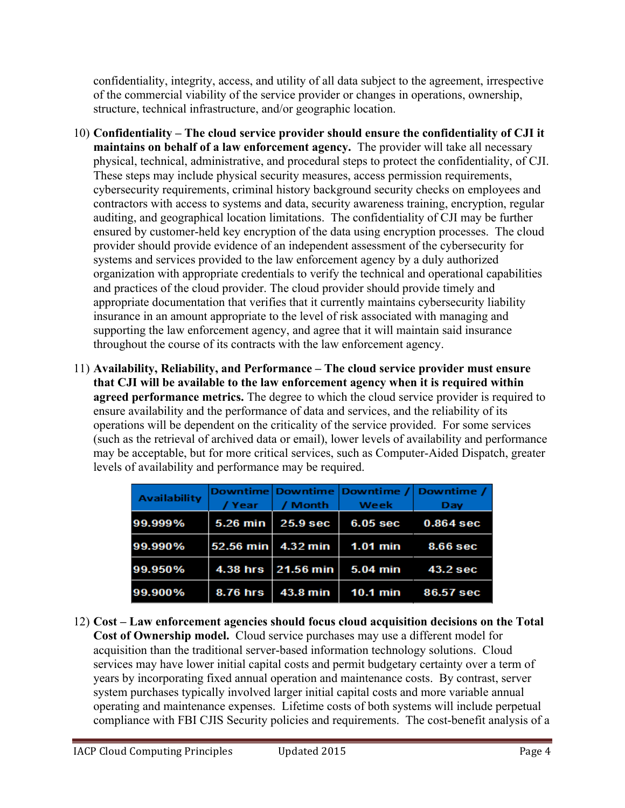confidentiality, integrity, access, and utility of all data subject to the agreement, irrespective of the commercial viability of the service provider or changes in operations, ownership, structure, technical infrastructure, and/or geographic location.

- 10) **Confidentiality – The cloud service provider should ensure the confidentiality of CJI it maintains on behalf of a law enforcement agency.** The provider will take all necessary physical, technical, administrative, and procedural steps to protect the confidentiality, of CJI. These steps may include physical security measures, access permission requirements, cybersecurity requirements, criminal history background security checks on employees and contractors with access to systems and data, security awareness training, encryption, regular auditing, and geographical location limitations. The confidentiality of CJI may be further ensured by customer-held key encryption of the data using encryption processes. The cloud provider should provide evidence of an independent assessment of the cybersecurity for systems and services provided to the law enforcement agency by a duly authorized organization with appropriate credentials to verify the technical and operational capabilities and practices of the cloud provider. The cloud provider should provide timely and appropriate documentation that verifies that it currently maintains cybersecurity liability insurance in an amount appropriate to the level of risk associated with managing and supporting the law enforcement agency, and agree that it will maintain said insurance throughout the course of its contracts with the law enforcement agency.
- 11) **Availability, Reliability, and Performance – The cloud service provider must ensure that CJI will be available to the law enforcement agency when it is required within agreed performance metrics.** The degree to which the cloud service provider is required to ensure availability and the performance of data and services, and the reliability of its operations will be dependent on the criticality of the service provided. For some services (such as the retrieval of archived data or email), lower levels of availability and performance may be acceptable, but for more critical services, such as Computer-Aided Dispatch, greater levels of availability and performance may be required.

| <b>Availability</b> |                 |                     |            | Downtime Downtime Downtime / Downtime / |
|---------------------|-----------------|---------------------|------------|-----------------------------------------|
|                     | / Year          | / Month             | Week       | Day                                     |
| 99.999%             | 5.26 min        | 25.9 <sub>sec</sub> | $6.05$ sec | $0.864$ sec                             |
| 99.990%             | 52.56 min       | 4.32 min            |            | 1.01 min 8.66 sec                       |
| 99.950%             | <b>4.38 hrs</b> | $21.56$ min         |            | 5.04 min 43.2 sec                       |
| 99.900%             | 8.76 hrs        | 43.8 min            |            | 10.1 min 86.57 sec                      |

12) **Cost – Law enforcement agencies should focus cloud acquisition decisions on the Total Cost of Ownership model.** Cloud service purchases may use a different model for acquisition than the traditional server-based information technology solutions. Cloud services may have lower initial capital costs and permit budgetary certainty over a term of years by incorporating fixed annual operation and maintenance costs. By contrast, server system purchases typically involved larger initial capital costs and more variable annual operating and maintenance expenses. Lifetime costs of both systems will include perpetual compliance with FBI CJIS Security policies and requirements. The cost-benefit analysis of a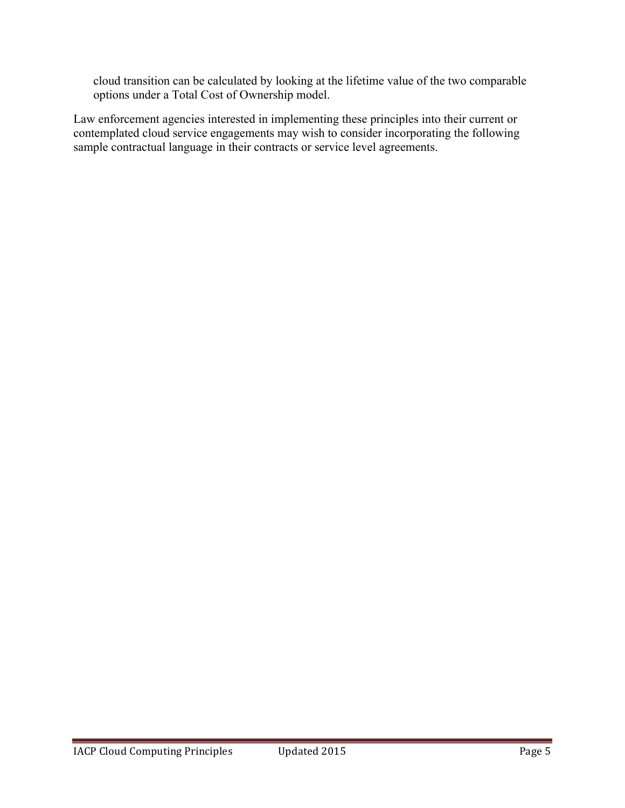cloud transition can be calculated by looking at the lifetime value of the two comparable options under a Total Cost of Ownership model.

Law enforcement agencies interested in implementing these principles into their current or contemplated cloud service engagements may wish to consider incorporating the following sample contractual language in their contracts or service level agreements.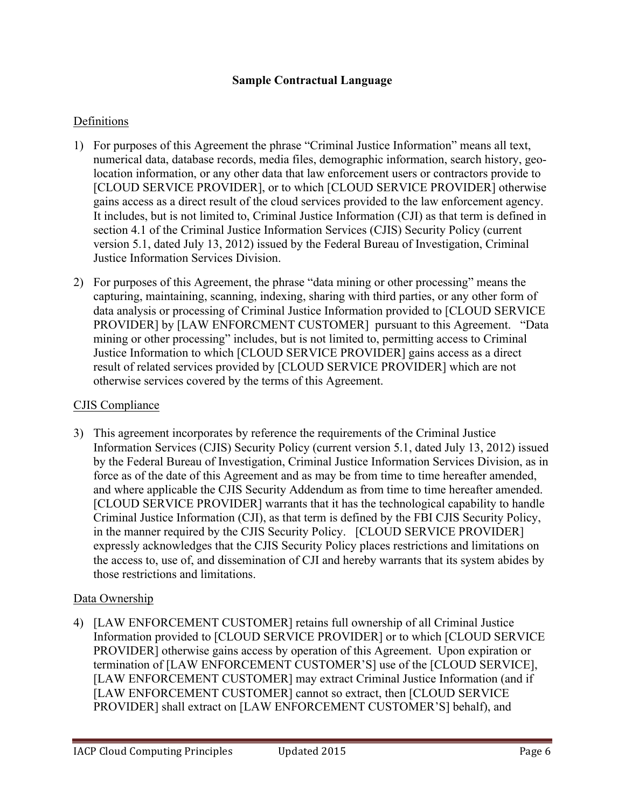### **Sample Contractual Language**

#### Definitions

- 1) For purposes of this Agreement the phrase "Criminal Justice Information" means all text, numerical data, database records, media files, demographic information, search history, geolocation information, or any other data that law enforcement users or contractors provide to [CLOUD SERVICE PROVIDER], or to which [CLOUD SERVICE PROVIDER] otherwise gains access as a direct result of the cloud services provided to the law enforcement agency. It includes, but is not limited to, Criminal Justice Information (CJI) as that term is defined in section 4.1 of the Criminal Justice Information Services (CJIS) Security Policy (current version 5.1, dated July 13, 2012) issued by the Federal Bureau of Investigation, Criminal Justice Information Services Division.
- 2) For purposes of this Agreement, the phrase "data mining or other processing" means the capturing, maintaining, scanning, indexing, sharing with third parties, or any other form of data analysis or processing of Criminal Justice Information provided to [CLOUD SERVICE PROVIDER] by [LAW ENFORCMENT CUSTOMER] pursuant to this Agreement. "Data mining or other processing" includes, but is not limited to, permitting access to Criminal Justice Information to which [CLOUD SERVICE PROVIDER] gains access as a direct result of related services provided by [CLOUD SERVICE PROVIDER] which are not otherwise services covered by the terms of this Agreement.

#### CJIS Compliance

3) This agreement incorporates by reference the requirements of the Criminal Justice Information Services (CJIS) Security Policy (current version 5.1, dated July 13, 2012) issued by the Federal Bureau of Investigation, Criminal Justice Information Services Division, as in force as of the date of this Agreement and as may be from time to time hereafter amended, and where applicable the CJIS Security Addendum as from time to time hereafter amended. [CLOUD SERVICE PROVIDER] warrants that it has the technological capability to handle Criminal Justice Information (CJI), as that term is defined by the FBI CJIS Security Policy, in the manner required by the CJIS Security Policy. [CLOUD SERVICE PROVIDER] expressly acknowledges that the CJIS Security Policy places restrictions and limitations on the access to, use of, and dissemination of CJI and hereby warrants that its system abides by those restrictions and limitations.

### Data Ownership

4) [LAW ENFORCEMENT CUSTOMER] retains full ownership of all Criminal Justice Information provided to [CLOUD SERVICE PROVIDER] or to which [CLOUD SERVICE PROVIDER] otherwise gains access by operation of this Agreement. Upon expiration or termination of [LAW ENFORCEMENT CUSTOMER'S] use of the [CLOUD SERVICE], [LAW ENFORCEMENT CUSTOMER] may extract Criminal Justice Information (and if [LAW ENFORCEMENT CUSTOMER] cannot so extract, then [CLOUD SERVICE PROVIDER] shall extract on [LAW ENFORCEMENT CUSTOMER'S] behalf), and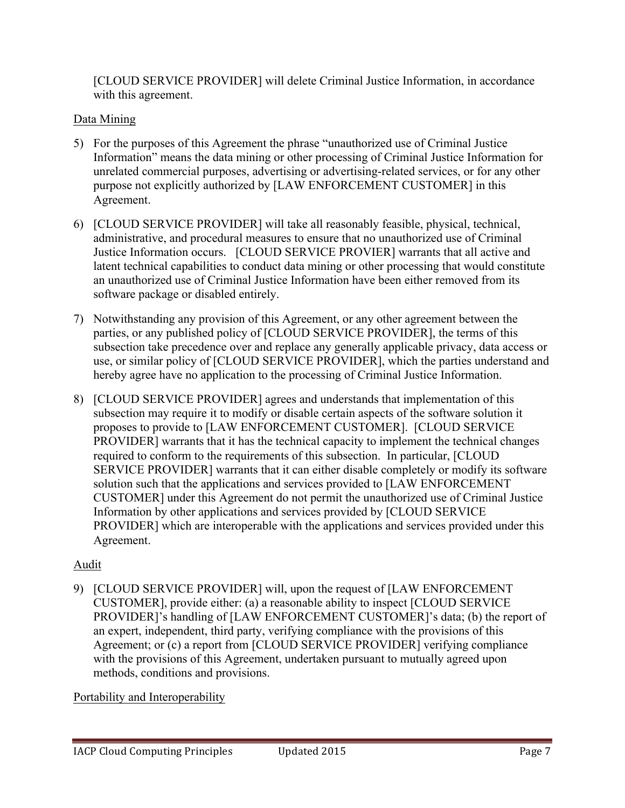[CLOUD SERVICE PROVIDER] will delete Criminal Justice Information, in accordance with this agreement.

# Data Mining

- 5) For the purposes of this Agreement the phrase "unauthorized use of Criminal Justice Information" means the data mining or other processing of Criminal Justice Information for unrelated commercial purposes, advertising or advertising-related services, or for any other purpose not explicitly authorized by [LAW ENFORCEMENT CUSTOMER] in this Agreement.
- 6) [CLOUD SERVICE PROVIDER] will take all reasonably feasible, physical, technical, administrative, and procedural measures to ensure that no unauthorized use of Criminal Justice Information occurs. [CLOUD SERVICE PROVIER] warrants that all active and latent technical capabilities to conduct data mining or other processing that would constitute an unauthorized use of Criminal Justice Information have been either removed from its software package or disabled entirely.
- 7) Notwithstanding any provision of this Agreement, or any other agreement between the parties, or any published policy of [CLOUD SERVICE PROVIDER], the terms of this subsection take precedence over and replace any generally applicable privacy, data access or use, or similar policy of [CLOUD SERVICE PROVIDER], which the parties understand and hereby agree have no application to the processing of Criminal Justice Information.
- 8) [CLOUD SERVICE PROVIDER] agrees and understands that implementation of this subsection may require it to modify or disable certain aspects of the software solution it proposes to provide to [LAW ENFORCEMENT CUSTOMER]. [CLOUD SERVICE PROVIDER] warrants that it has the technical capacity to implement the technical changes required to conform to the requirements of this subsection. In particular, [CLOUD SERVICE PROVIDER] warrants that it can either disable completely or modify its software solution such that the applications and services provided to [LAW ENFORCEMENT CUSTOMER] under this Agreement do not permit the unauthorized use of Criminal Justice Information by other applications and services provided by [CLOUD SERVICE PROVIDER] which are interoperable with the applications and services provided under this Agreement.

# Audit

9) [CLOUD SERVICE PROVIDER] will, upon the request of [LAW ENFORCEMENT CUSTOMER], provide either: (a) a reasonable ability to inspect [CLOUD SERVICE PROVIDER]'s handling of [LAW ENFORCEMENT CUSTOMER]'s data; (b) the report of an expert, independent, third party, verifying compliance with the provisions of this Agreement; or (c) a report from [CLOUD SERVICE PROVIDER] verifying compliance with the provisions of this Agreement, undertaken pursuant to mutually agreed upon methods, conditions and provisions.

Portability and Interoperability